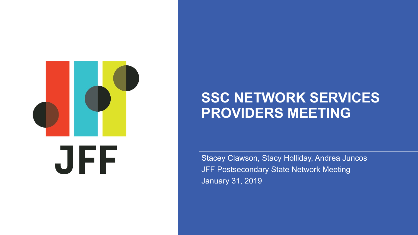

# **SSC NETWORK SERVICES PROVIDERS MEETING**

Stacey Clawson, Stacy Holliday, Andrea Juncos JFF Postsecondary State Network Meeting January 31, 2019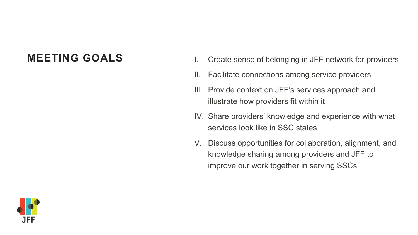- **MEETING GOALS** I. Create sense of belonging in JFF network for providers
	- II. Facilitate connections among service providers
	- III. Provide context on JFF's services approach and illustrate how providers fit within it
	- IV. Share providers' knowledge and experience with what services look like in SSC states
	- V. Discuss opportunities for collaboration, alignment, and knowledge sharing among providers and JFF to improve our work together in serving SSCs

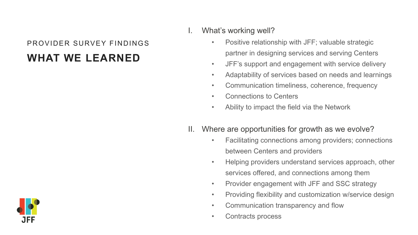### **WHAT WE LEARNED** PROVIDER SURVEY FINDINGS

I. What's working well?

- Positive relationship with JFF; valuable strategic partner in designing services and serving Centers
- JFF's support and engagement with service delivery
- Adaptability of services based on needs and learnings
- Communication timeliness, coherence, frequency
- Connections to Centers
- Ability to impact the field via the Network
- II. Where are opportunities for growth as we evolve?
	- Facilitating connections among providers; connections between Centers and providers
	- Helping providers understand services approach, other services offered, and connections among them
	- Provider engagement with JFF and SSC strategy
	- Providing flexibility and customization w/service design
	- Communication transparency and flow
	- Contracts process

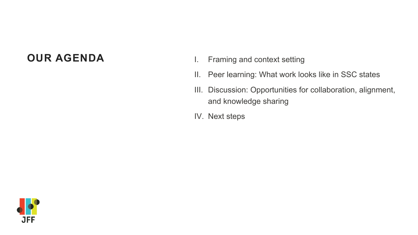- **OUR AGENDA** I. Framing and context setting
	- II. Peer learning: What work looks like in SSC states
	- III. Discussion: Opportunities for collaboration, alignment, and knowledge sharing
	- IV. Next steps

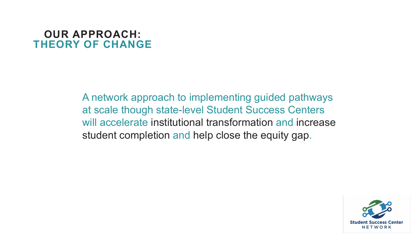### **OUR APPROACH: THEORY OF CHANGE**

A network approach to implementing guided pathways at scale though state-level Student Success Centers will accelerate institutional transformation and increase student completion and help close the equity gap.

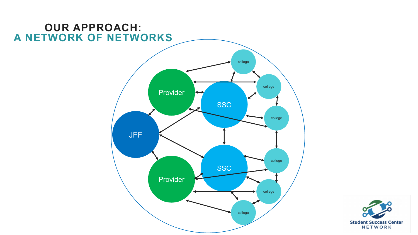

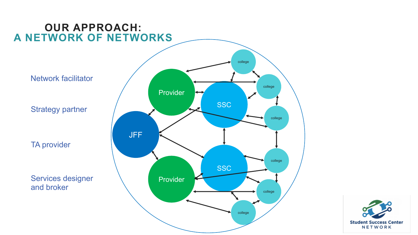

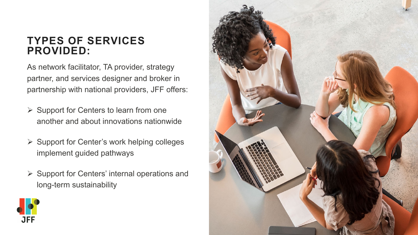# **TYPES OF SERVICES PROVIDED:**

As network facilitator, TA provider, strategy partner, and services designer and broker in partnership with national providers, JFF offers:

- $\triangleright$  Support for Centers to learn from one another and about innovations nationwide
- $\triangleright$  Support for Center's work helping colleges implement guided pathways
- $\triangleright$  Support for Centers' internal operations and long-term sustainability



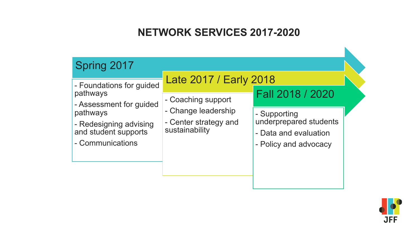# **NETWORK SERVICES 2017-2020**

| Spring 2017                                                                                                                                                                                                                                                                                                                                                                         |
|-------------------------------------------------------------------------------------------------------------------------------------------------------------------------------------------------------------------------------------------------------------------------------------------------------------------------------------------------------------------------------------|
|                                                                                                                                                                                                                                                                                                                                                                                     |
| Late 2017 / Early 2018<br>- Foundations for guided<br>Fall 2018 / 2020<br>pathways<br>- Coaching support<br>- Assessment for guided<br>- Change leadership<br>pathways<br>- Supporting<br>underprepared students<br>- Center strategy and<br>- Redesigning advising<br>sustainability<br>and student supports<br>- Data and evaluation<br>- Communications<br>- Policy and advocacy |

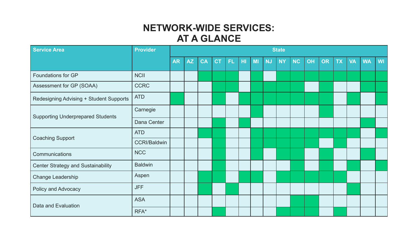#### **NETWORK-WIDE SERVICES: AT A GLANCE**

| <b>Service Area</b>                       | <b>Provider</b>     | <b>State</b> |           |           |           |     |     |    |           |           |           |    |           |           |           |           |           |
|-------------------------------------------|---------------------|--------------|-----------|-----------|-----------|-----|-----|----|-----------|-----------|-----------|----|-----------|-----------|-----------|-----------|-----------|
|                                           |                     | <b>AR</b>    | <b>AZ</b> | <b>CA</b> | <b>CT</b> | FL. | lнг | MI | <b>NJ</b> | <b>NY</b> | <b>NC</b> | OH | <b>OR</b> | <b>TX</b> | <b>VA</b> | <b>WA</b> | <b>WI</b> |
| <b>Foundations for GP</b>                 | <b>NCII</b>         |              |           |           |           |     |     |    |           |           |           |    |           |           |           |           |           |
| Assessment for GP (SOAA)                  | <b>CCRC</b>         |              |           |           |           |     |     |    |           |           |           |    |           |           |           |           |           |
| Redesigning Advising + Student Supports   | <b>ATD</b>          |              |           |           |           |     |     |    |           |           |           |    |           |           |           |           |           |
| <b>Supporting Underprepared Students</b>  | Carnegie            |              |           |           |           |     |     |    |           |           |           |    |           |           |           |           |           |
|                                           | Dana Center         |              |           |           |           |     |     |    |           |           |           |    |           |           |           |           |           |
| <b>Coaching Support</b>                   | <b>ATD</b>          |              |           |           |           |     |     |    |           |           |           |    |           |           |           |           |           |
|                                           | <b>CCRI/Baldwin</b> |              |           |           |           |     |     |    |           |           |           |    |           |           |           |           |           |
| Communications                            | <b>NCC</b>          |              |           |           |           |     |     |    |           |           |           |    |           |           |           |           |           |
| <b>Center Strategy and Sustainability</b> | <b>Baldwin</b>      |              |           |           |           |     |     |    |           |           |           |    |           |           |           |           |           |
| Change Leadership                         | Aspen               |              |           |           |           |     |     |    |           |           |           |    |           |           |           |           |           |
| <b>Policy and Advocacy</b>                | <b>JFF</b>          |              |           |           |           |     |     |    |           |           |           |    |           |           |           |           |           |
| Data and Evaluation                       | <b>ASA</b>          |              |           |           |           |     |     |    |           |           |           |    |           |           |           |           |           |
|                                           | RFA*                |              |           |           |           |     |     |    |           |           |           |    |           |           |           |           |           |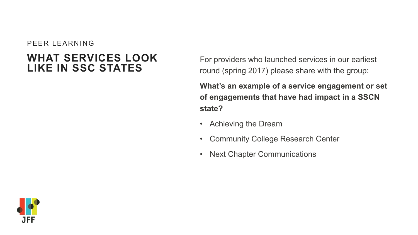#### PEER LEARNING

## **WHAT SERVICES LOOK LIKE IN SSC STATES**

For providers who launched services in our earliest round (spring 2017) please share with the group:

**What's an example of a service engagement or set of engagements that have had impact in a SSCN state?** 

- Achieving the Dream
- Community College Research Center
- **Next Chapter Communications**

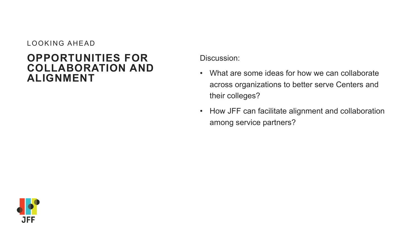#### LOOKING AHEAD

#### **ALIGNMENT OPPORTUNITIES FOR COLLABORATION AND**

Discussion:

- What are some ideas for how we can collaborate across organizations to better serve Centers and their colleges?
- How JFF can facilitate alignment and collaboration among service partners?

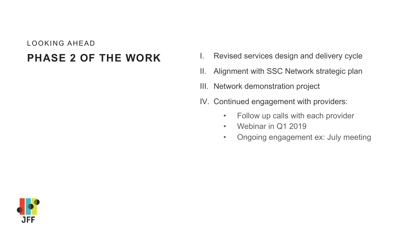# LOOKING AHEAD

- **PHASE 2 OF THE WORK** I. Revised services design and delivery cycle
	- II. Alignment with SSC Network strategic plan
	- III. Network demonstration project
	- IV. Continued engagement with providers:
		- Follow up calls with each provider
		- Webinar in Q1 2019
		- Ongoing engagement ex: July meeting